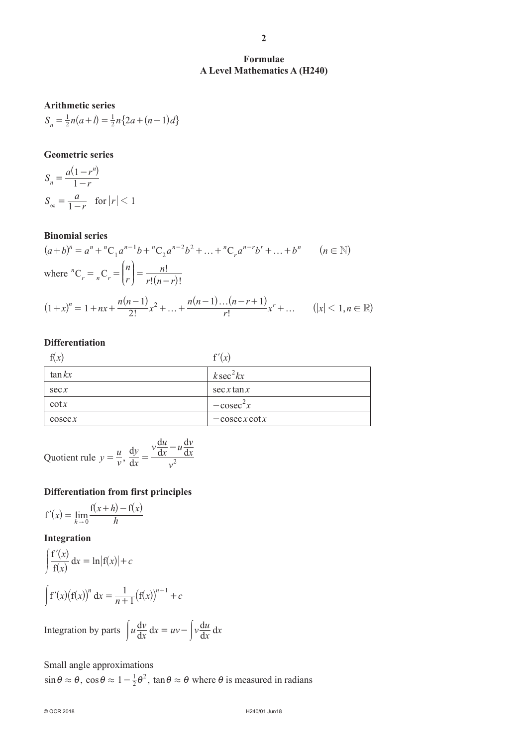**2**

# **A Level Mathematics A (H240)**

# **Arithmetic series**

 $S_n = \frac{1}{2}n(a+l) = \frac{1}{2}n\{2a + (n-1)d\}$  $=\frac{1}{2}n(a+l) = \frac{1}{2}n\{2a + (n-1)d\}$ 

# **Geometric series**

$$
S_n = \frac{a(1 - r^n)}{1 - r}
$$
  
\n
$$
S_{\infty} = \frac{a}{1 - r} \quad \text{for } |r| < 1
$$

# **Binomial series**

$$
(a+b)^n = a^n + {}^nC_1 a^{n-1}b + {}^nC_2 a^{n-2}b^2 + \dots + {}^nC_r a^{n-r}b^r + \dots + b^n \qquad (n \in \mathbb{N})
$$
  
where  ${}^nC_r = {}_nC_r = {n \choose r} = \frac{n!}{r!(n-r)!}$   

$$
(1+x)^n = 1 + nx + \frac{n(n-1)}{2!}x^2 + \dots + \frac{n(n-1)\dots(n-r+1)}{r!}x^r + \dots \qquad (|x| < 1, n \in \mathbb{R})
$$

### **Differentiation**

| f(x)      | f'(x)            |
|-----------|------------------|
| $\tan kx$ | $k\sec^2 kx$     |
| sec x     | sec x tan x      |
| $\cot x$  | $-\csc^2 x$      |
| $\csc x$  | $-\csc x \cot x$ |

Quotient rule  $y = \frac{u}{v}$ ,  $\frac{dy}{dx} = \frac{v \frac{du}{dx}}{v^2}$  $\frac{u}{x} - u \frac{dv}{dx}$ *v*  $dx = v$  $\frac{dy}{dx} - \frac{v}{d}$ d d d  $=\frac{ax}{a^2}$ -

# **Differentiation from first principles**

$$
f'(x) = \lim_{h \to 0} \frac{f(x+h) - f(x)}{h}
$$

# **Integration**

$$
\int \frac{f'(x)}{f(x)} dx = \ln|f(x)| + c
$$
  

$$
\int f'(x)(f(x))^n dx = \frac{1}{n+1}(f(x))^{n+1} + c
$$

Integration by parts  $\int u \frac{dv}{dx}$  $\frac{v}{x} dx = uv - \int v \frac{du}{dx}$  $\int u \frac{dv}{dx} dx = uv - \int v \frac{du}{dx} dx$ 

# Small angle approximations

 $\sin \theta \approx \theta$ ,  $\cos \theta \approx 1 - \frac{1}{2} \theta^2$ ,  $\tan \theta \approx \theta$  where  $\theta$  is measured in radians